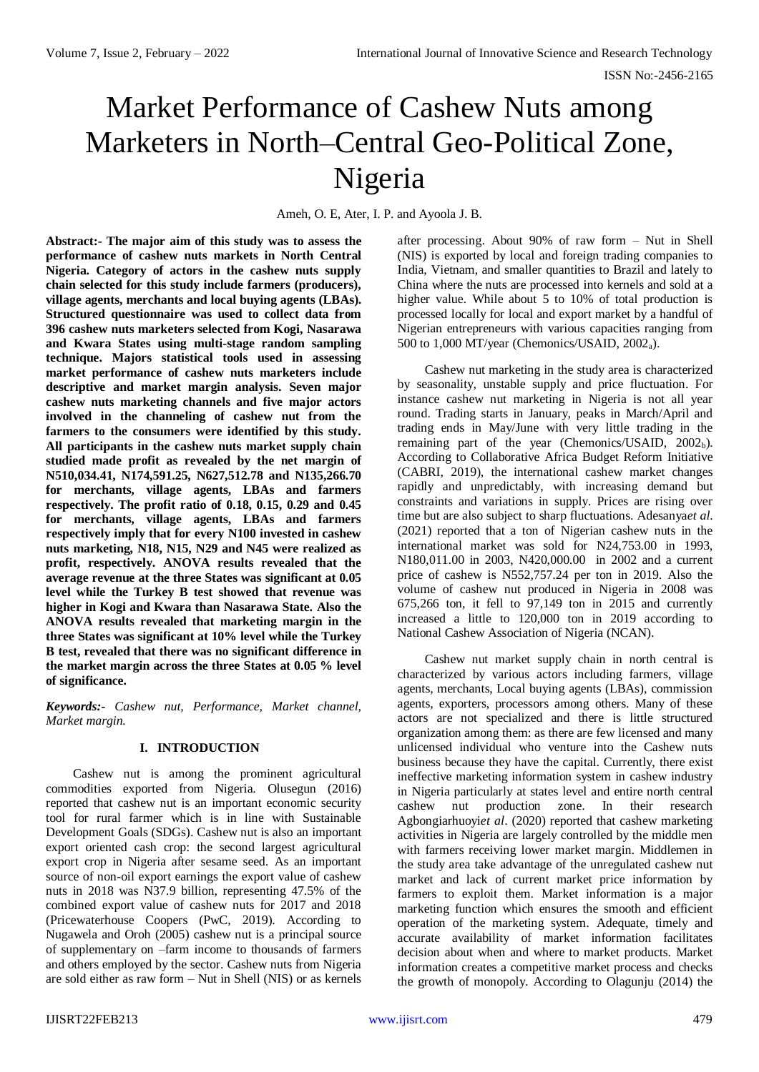# Market Performance of Cashew Nuts among Marketers in North–Central Geo-Political Zone, Nigeria

Ameh, O. E, Ater, I. P. and Ayoola J. B.

**Abstract:- The major aim of this study was to assess the performance of cashew nuts markets in North Central Nigeria. Category of actors in the cashew nuts supply chain selected for this study include farmers (producers), village agents, merchants and local buying agents (LBAs). Structured questionnaire was used to collect data from 396 cashew nuts marketers selected from Kogi, Nasarawa and Kwara States using multi-stage random sampling technique. Majors statistical tools used in assessing market performance of cashew nuts marketers include descriptive and market margin analysis. Seven major cashew nuts marketing channels and five major actors involved in the channeling of cashew nut from the farmers to the consumers were identified by this study. All participants in the cashew nuts market supply chain studied made profit as revealed by the net margin of N510,034.41, N174,591.25, N627,512.78 and N135,266.70 for merchants, village agents, LBAs and farmers respectively. The profit ratio of 0.18, 0.15, 0.29 and 0.45 for merchants, village agents, LBAs and farmers respectively imply that for every N100 invested in cashew nuts marketing, N18, N15, N29 and N45 were realized as profit, respectively. ANOVA results revealed that the average revenue at the three States was significant at 0.05 level while the Turkey B test showed that revenue was higher in Kogi and Kwara than Nasarawa State. Also the ANOVA results revealed that marketing margin in the three States was significant at 10% level while the Turkey B test, revealed that there was no significant difference in the market margin across the three States at 0.05 % level of significance.**

*Keywords:- Cashew nut, Performance, Market channel, Market margin.*

# **I. INTRODUCTION**

Cashew nut is among the prominent agricultural commodities exported from Nigeria. Olusegun (2016) reported that cashew nut is an important economic security tool for rural farmer which is in line with Sustainable Development Goals (SDGs). Cashew nut is also an important export oriented cash crop: the second largest agricultural export crop in Nigeria after sesame seed. As an important source of non-oil export earnings the export value of cashew nuts in 2018 was N37.9 billion, representing 47.5% of the combined export value of cashew nuts for 2017 and 2018 (Pricewaterhouse Coopers (PwC, 2019). According to Nugawela and Oroh (2005) cashew nut is a principal source of supplementary on –farm income to thousands of farmers and others employed by the sector. Cashew nuts from Nigeria are sold either as raw form – Nut in Shell (NIS) or as kernels after processing. About 90% of raw form – Nut in Shell (NIS) is exported by local and foreign trading companies to India, Vietnam, and smaller quantities to Brazil and lately to China where the nuts are processed into kernels and sold at a higher value. While about 5 to 10% of total production is processed locally for local and export market by a handful of Nigerian entrepreneurs with various capacities ranging from 500 to 1,000 MT/year (Chemonics/USAID, 2002a).

Cashew nut marketing in the study area is characterized by seasonality, unstable supply and price fluctuation. For instance cashew nut marketing in Nigeria is not all year round. Trading starts in January, peaks in March/April and trading ends in May/June with very little trading in the remaining part of the year (Chemonics/USAID,  $2002<sub>b</sub>$ ). According to Collaborative Africa Budget Reform Initiative (CABRI, 2019), the international cashew market changes rapidly and unpredictably, with increasing demand but constraints and variations in supply. Prices are rising over time but are also subject to sharp fluctuations. Adesanya*et al*. (2021) reported that a ton of Nigerian cashew nuts in the international market was sold for N24,753.00 in 1993, N180,011.00 in 2003, N420,000.00 in 2002 and a current price of cashew is N552,757.24 per ton in 2019. Also the volume of cashew nut produced in Nigeria in 2008 was 675,266 ton, it fell to 97,149 ton in 2015 and currently increased a little to 120,000 ton in 2019 according to National Cashew Association of Nigeria (NCAN).

Cashew nut market supply chain in north central is characterized by various actors including farmers, village agents, merchants, Local buying agents (LBAs), commission agents, exporters, processors among others. Many of these actors are not specialized and there is little structured organization among them: as there are few licensed and many unlicensed individual who venture into the Cashew nuts business because they have the capital. Currently, there exist ineffective marketing information system in cashew industry in Nigeria particularly at states level and entire north central cashew nut production zone. In their research Agbongiarhuoyi*et al*. (2020) reported that cashew marketing activities in Nigeria are largely controlled by the middle men with farmers receiving lower market margin. Middlemen in the study area take advantage of the unregulated cashew nut market and lack of current market price information by farmers to exploit them. Market information is a major marketing function which ensures the smooth and efficient operation of the marketing system. Adequate, timely and accurate availability of market information facilitates decision about when and where to market products. Market information creates a competitive market process and checks the growth of monopoly. According to Olagunju (2014) the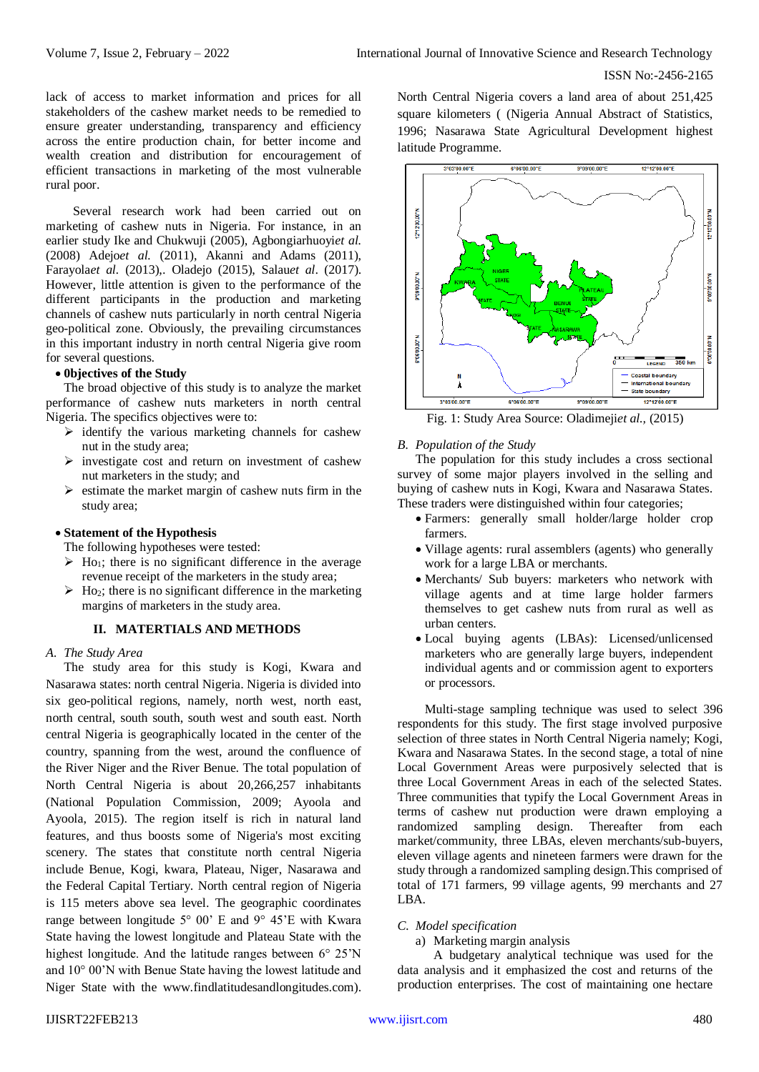lack of access to market information and prices for all stakeholders of the cashew market needs to be remedied to ensure greater understanding, transparency and efficiency across the entire production chain, for better income and wealth creation and distribution for encouragement of efficient transactions in marketing of the most vulnerable rural poor.

Several research work had been carried out on marketing of cashew nuts in Nigeria. For instance, in an earlier study Ike and Chukwuji (2005), Agbongiarhuoyi*et al.* (2008) Adejo*et al.* (2011), Akanni and Adams (2011), Farayola*et al.* (2013),. Oladejo (2015), Salau*et al*. (2017). However, little attention is given to the performance of the different participants in the production and marketing channels of cashew nuts particularly in north central Nigeria geo-political zone. Obviously, the prevailing circumstances in this important industry in north central Nigeria give room for several questions.

# **0bjectives of the Study**

The broad objective of this study is to analyze the market performance of cashew nuts marketers in north central Nigeria. The specifics objectives were to:

- $\triangleright$  identify the various marketing channels for cashew nut in the study area;
- $\triangleright$  investigate cost and return on investment of cashew nut marketers in the study; and
- $\triangleright$  estimate the market margin of cashew nuts firm in the study area;

## **Statement of the Hypothesis**

The following hypotheses were tested:

- $\triangleright$  H<sub>O1</sub>; there is no significant difference in the average revenue receipt of the marketers in the study area;
- $\triangleright$  Ho<sub>2</sub>; there is no significant difference in the marketing margins of marketers in the study area.

# **II. MATERTIALS AND METHODS**

#### *A. The Study Area*

The study area for this study is Kogi, Kwara and Nasarawa states: north central Nigeria. Nigeria is divided into six geo-political regions, namely, north west, north east, north central, south south, south west and south east. North central Nigeria is geographically located in the center of the country, spanning from the west, around the confluence of the River Niger and the River Benue. The total population of North Central Nigeria is about 20,266,257 inhabitants (National Population Commission, 2009; Ayoola and Ayoola, 2015). The region itself is rich in natural land features, and thus boosts some of Nigeria's most exciting scenery. The states that constitute north central Nigeria include Benue, Kogi, kwara, Plateau, Niger, Nasarawa and the Federal Capital Tertiary. North central region of Nigeria is 115 meters above sea level. The geographic coordinates range between longitude 5° 00' E and 9° 45'E with Kwara State having the lowest longitude and Plateau State with the highest longitude. And the latitude ranges between 6° 25'N and 10° 00'N with Benue State having the lowest latitude and Niger State with the [www.findlatitudesandlongitudes.com\)](http://www.findlatitudesandlongitudes.com/). North Central Nigeria covers a land area of about 251,425 square kilometers ( (Nigeria Annual Abstract of Statistics, 1996; Nasarawa State Agricultural Development highest latitude Programme.



Fig. 1: Study Area Source: Oladimeji*et al.,* (2015)

#### *B. Population of the Study*

The population for this study includes a cross sectional survey of some major players involved in the selling and buying of cashew nuts in Kogi, Kwara and Nasarawa States. These traders were distinguished within four categories;

- Farmers: generally small holder/large holder crop farmers.
- Village agents: rural assemblers (agents) who generally work for a large LBA or merchants.
- Merchants/ Sub buyers: marketers who network with village agents and at time large holder farmers themselves to get cashew nuts from rural as well as urban centers.
- Local buying agents (LBAs): Licensed/unlicensed marketers who are generally large buyers, independent individual agents and or commission agent to exporters or processors.

Multi-stage sampling technique was used to select 396 respondents for this study. The first stage involved purposive selection of three states in North Central Nigeria namely; Kogi, Kwara and Nasarawa States. In the second stage, a total of nine Local Government Areas were purposively selected that is three Local Government Areas in each of the selected States. Three communities that typify the Local Government Areas in terms of cashew nut production were drawn employing a randomized sampling design. Thereafter from each market/community, three LBAs, eleven merchants/sub-buyers, eleven village agents and nineteen farmers were drawn for the study through a randomized sampling design.This comprised of total of 171 farmers, 99 village agents, 99 merchants and 27 LBA.

## *C. Model specification*

a) Marketing margin analysis

A budgetary analytical technique was used for the data analysis and it emphasized the cost and returns of the production enterprises. The cost of maintaining one hectare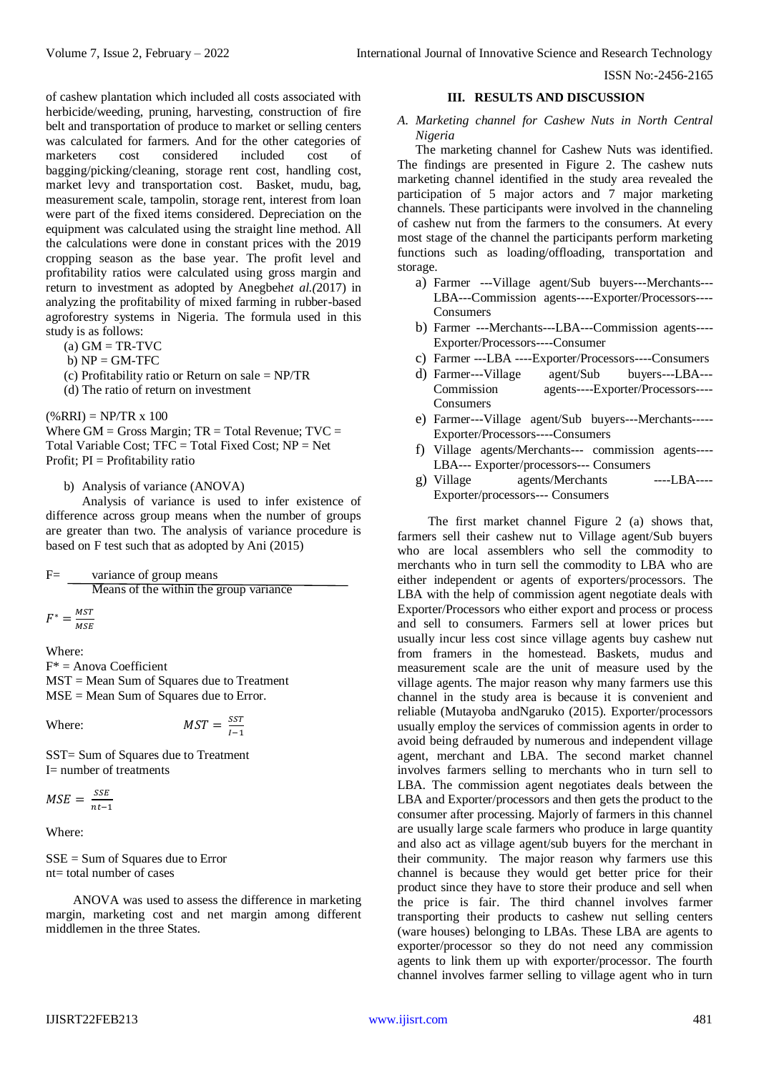of cashew plantation which included all costs associated with herbicide/weeding, pruning, harvesting, construction of fire belt and transportation of produce to market or selling centers was calculated for farmers. And for the other categories of marketers cost considered included cost of bagging/picking/cleaning, storage rent cost, handling cost, market levy and transportation cost. Basket, mudu, bag, measurement scale, tampolin, storage rent, interest from loan were part of the fixed items considered. Depreciation on the equipment was calculated using the straight line method. All the calculations were done in constant prices with the 2019 cropping season as the base year. The profit level and profitability ratios were calculated using gross margin and return to investment as adopted by Anegbeh*et al.(*2017) in analyzing the profitability of mixed farming in rubber-based agroforestry systems in Nigeria. The formula used in this study is as follows:

 $(a)$  GM = TR-TVC

 $b) NP = GM-TFC$ 

(c) Profitability ratio or Return on sale = NP/TR

(d) The ratio of return on investment

 $(\%RRI) = NP/TR \times 100$ 

Where  $GM =$  Gross Margin;  $TR =$  Total Revenue;  $TVC =$ Total Variable Cost; TFC = Total Fixed Cost; NP = Net Profit; PI = Profitability ratio

b) Analysis of variance (ANOVA)

Analysis of variance is used to infer existence of difference across group means when the number of groups are greater than two. The analysis of variance procedure is based on F test such that as adopted by Ani (2015)

variance of group means Means of the within the group variance  $F^* = \frac{MST}{MSE}$ MSE

Where:

 $F^*$  = Anova Coefficient

MST = Mean Sum of Squares due to Treatment MSE = Mean Sum of Squares due to Error.

Where:  $MST = \frac{SST}{I}$  $1-1$ 

SST= Sum of Squares due to Treatment I= number of treatments

 $MSE = \frac{SSE}{T}$  $nt-1$ 

Where:

SSE = Sum of Squares due to Error  $nt = total number of cases$ 

ANOVA was used to assess the difference in marketing margin, marketing cost and net margin among different middlemen in the three States.

## **III. RESULTS AND DISCUSSION**

*A. Marketing channel for Cashew Nuts in North Central Nigeria*

The marketing channel for Cashew Nuts was identified. The findings are presented in Figure 2. The cashew nuts marketing channel identified in the study area revealed the participation of 5 major actors and 7 major marketing channels. These participants were involved in the channeling of cashew nut from the farmers to the consumers. At every most stage of the channel the participants perform marketing functions such as loading/offloading, transportation and storage.

- a) Farmer ---Village agent/Sub buyers---Merchants--- LBA---Commission agents----Exporter/Processors---- **Consumers**
- b) Farmer ---Merchants---LBA---Commission agents---- Exporter/Processors----Consumer
- c) Farmer ---LBA ----Exporter/Processors----Consumers
- d) Farmer---Village agent/Sub buyers---LBA--- Commission agents----Exporter/Processors---- Consumers
- e) Farmer---Village agent/Sub buyers---Merchants----- Exporter/Processors----Consumers
- f) Village agents/Merchants--- commission agents---- LBA--- Exporter/processors--- Consumers
- g) Village agents/Merchants ----LBA---- Exporter/processors--- Consumers

The first market channel Figure 2 (a) shows that, farmers sell their cashew nut to Village agent/Sub buyers who are local assemblers who sell the commodity to merchants who in turn sell the commodity to LBA who are either independent or agents of exporters/processors. The LBA with the help of commission agent negotiate deals with Exporter/Processors who either export and process or process and sell to consumers. Farmers sell at lower prices but usually incur less cost since village agents buy cashew nut from framers in the homestead. Baskets, mudus and measurement scale are the unit of measure used by the village agents. The major reason why many farmers use this channel in the study area is because it is convenient and reliable (Mutayoba andNgaruko (2015). Exporter/processors usually employ the services of commission agents in order to avoid being defrauded by numerous and independent village agent, merchant and LBA. The second market channel involves farmers selling to merchants who in turn sell to LBA. The commission agent negotiates deals between the LBA and Exporter/processors and then gets the product to the consumer after processing. Majorly of farmers in this channel are usually large scale farmers who produce in large quantity and also act as village agent/sub buyers for the merchant in their community. The major reason why farmers use this channel is because they would get better price for their product since they have to store their produce and sell when the price is fair. The third channel involves farmer transporting their products to cashew nut selling centers (ware houses) belonging to LBAs. These LBA are agents to exporter/processor so they do not need any commission agents to link them up with exporter/processor. The fourth channel involves farmer selling to village agent who in turn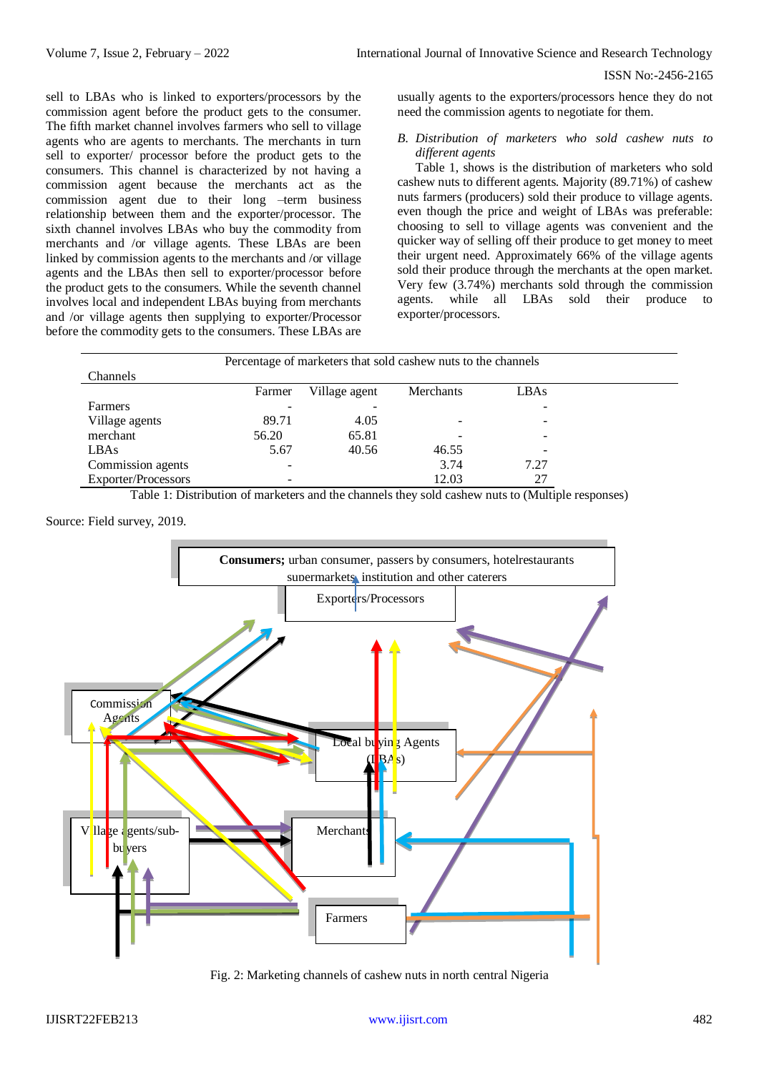sell to LBAs who is linked to exporters/processors by the commission agent before the product gets to the consumer. The fifth market channel involves farmers who sell to village agents who are agents to merchants. The merchants in turn sell to exporter/ processor before the product gets to the consumers. This channel is characterized by not having a commission agent because the merchants act as the commission agent due to their long –term business relationship between them and the exporter/processor. The sixth channel involves LBAs who buy the commodity from merchants and /or village agents. These LBAs are been linked by commission agents to the merchants and /or village agents and the LBAs then sell to exporter/processor before the product gets to the consumers. While the seventh channel involves local and independent LBAs buying from merchants and /or village agents then supplying to exporter/Processor before the commodity gets to the consumers. These LBAs are usually agents to the exporters/processors hence they do not need the commission agents to negotiate for them.

# *B. Distribution of marketers who sold cashew nuts to different agents*

Table 1, shows is the distribution of marketers who sold cashew nuts to different agents. Majority (89.71%) of cashew nuts farmers (producers) sold their produce to village agents. even though the price and weight of LBAs was preferable: choosing to sell to village agents was convenient and the quicker way of selling off their produce to get money to meet their urgent need. Approximately 66% of the village agents sold their produce through the merchants at the open market. Very few (3.74%) merchants sold through the commission agents. while all LBAs sold their produce to exporter/processors.

| Percentage of marketers that sold cashew nuts to the channels |        |               |                  |      |  |  |  |
|---------------------------------------------------------------|--------|---------------|------------------|------|--|--|--|
| Channels                                                      |        |               |                  |      |  |  |  |
|                                                               | Farmer | Village agent | <b>Merchants</b> | LBAs |  |  |  |
| Farmers                                                       |        |               |                  |      |  |  |  |
| Village agents                                                | 89.71  | 4.05          |                  |      |  |  |  |
| merchant                                                      | 56.20  | 65.81         |                  |      |  |  |  |
| LBAs                                                          | 5.67   | 40.56         | 46.55            |      |  |  |  |
| Commission agents                                             |        |               | 3.74             | 7.27 |  |  |  |
| <b>Exporter/Processors</b>                                    |        |               | 12.03            | 27   |  |  |  |

Table 1: Distribution of marketers and the channels they sold cashew nuts to (Multiple responses)

## Source: Field survey, 2019.



Fig. 2: Marketing channels of cashew nuts in north central Nigeria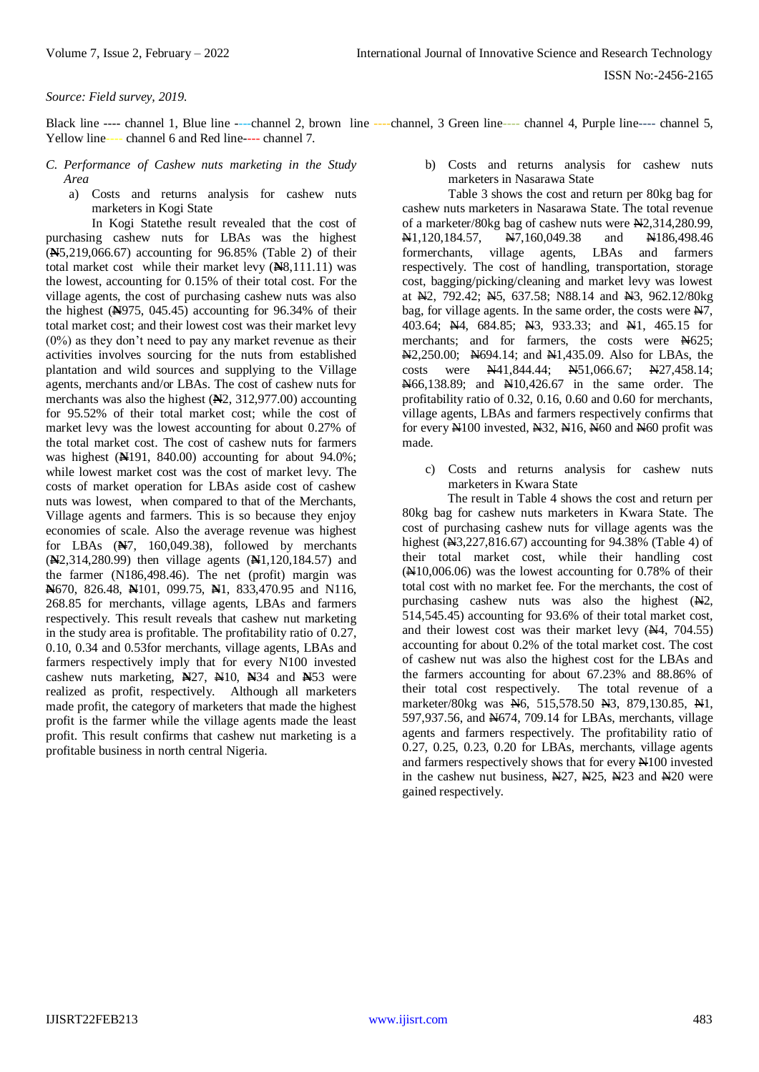## *Source: Field survey, 2019.*

Black line ---- channel 1, Blue line ----channel 2, brown line ----channel, 3 Green line---- channel 4, Purple line---- channel 5, Yellow line---- channel 6 and Red line---- channel 7.

- *C. Performance of Cashew nuts marketing in the Study Area*
	- a) Costs and returns analysis for cashew nuts marketers in Kogi State

In Kogi Statethe result revealed that the cost of purchasing cashew nuts for LBAs was the highest (**N**5,219,066.67) accounting for 96.85% (Table 2) of their total market cost while their market levy (**N**8,111.11) was the lowest, accounting for 0.15% of their total cost. For the village agents, the cost of purchasing cashew nuts was also the highest (**N**975, 045.45) accounting for 96.34% of their total market cost; and their lowest cost was their market levy (0%) as they don't need to pay any market revenue as their activities involves sourcing for the nuts from established plantation and wild sources and supplying to the Village agents, merchants and/or LBAs. The cost of cashew nuts for merchants was also the highest (**N**2, 312,977.00) accounting for 95.52% of their total market cost; while the cost of market levy was the lowest accounting for about 0.27% of the total market cost. The cost of cashew nuts for farmers was highest (**N**191, 840.00) accounting for about 94.0%; while lowest market cost was the cost of market levy. The costs of market operation for LBAs aside cost of cashew nuts was lowest, when compared to that of the Merchants, Village agents and farmers. This is so because they enjoy economies of scale. Also the average revenue was highest for LBAs (**N**7, 160,049.38), followed by merchants (**N**2,314,280.99) then village agents (**N**1,120,184.57) and the farmer (N186,498.46). The net (profit) margin was **N**670, 826.48, **N**101, 099.75, **N**1, 833,470.95 and N116, 268.85 for merchants, village agents, LBAs and farmers respectively. This result reveals that cashew nut marketing in the study area is profitable. The profitability ratio of 0.27, 0.10, 0.34 and 0.53for merchants, village agents, LBAs and farmers respectively imply that for every N100 invested cashew nuts marketing, **N**27, N10, **N**34 and **N**53 were realized as profit, respectively. Although all marketers made profit, the category of marketers that made the highest profit is the farmer while the village agents made the least profit. This result confirms that cashew nut marketing is a profitable business in north central Nigeria.

b) Costs and returns analysis for cashew nuts marketers in Nasarawa State

Table 3 shows the cost and return per 80kg bag for cashew nuts marketers in Nasarawa State. The total revenue of a marketer/80kg bag of cashew nuts were N2,314,280.99, N1,120,184.57, N7,160,049.38 and N186,498.46 formerchants, village agents, LBAs and farmers respectively. The cost of handling, transportation, storage cost, bagging/picking/cleaning and market levy was lowest at N2, 792.42; N5, 637.58; N88.14 and N3, 962.12/80kg bag, for village agents. In the same order, the costs were N7, 403.64; Ne. 684.85; Ne. 933.33; and Nel, 465.15 for merchants; and for farmers, the costs were  $\cancel{N}625$ ; N2,250.00; N694.14; and N1,435.09. Also for LBAs, the costs were N41,844.44; N51,066.67; N27,458.14; N66,138.89; and N10,426.67 in the same order. The profitability ratio of 0.32, 0.16, 0.60 and 0.60 for merchants, village agents, LBAs and farmers respectively confirms that for every  $N100$  invested,  $N32$ ,  $N16$ ,  $N60$  and  $N60$  profit was made.

c) Costs and returns analysis for cashew nuts marketers in Kwara State

The result in Table 4 shows the cost and return per 80kg bag for cashew nuts marketers in Kwara State. The cost of purchasing cashew nuts for village agents was the highest (N3,227,816.67) accounting for 94.38% (Table 4) of their total market cost, while their handling cost (N10,006.06) was the lowest accounting for 0.78% of their total cost with no market fee. For the merchants, the cost of purchasing cashew nuts was also the highest  $(A2)$ , 514,545.45) accounting for 93.6% of their total market cost, and their lowest cost was their market levy (N4, 704.55) accounting for about 0.2% of the total market cost. The cost of cashew nut was also the highest cost for the LBAs and the farmers accounting for about 67.23% and 88.86% of their total cost respectively. The total revenue of a marketer/80kg was N6, 515,578.50 N3, 879,130.85, N1, 597,937.56, and N674, 709.14 for LBAs, merchants, village agents and farmers respectively. The profitability ratio of 0.27, 0.25, 0.23, 0.20 for LBAs, merchants, village agents and farmers respectively shows that for every N100 invested in the cashew nut business, N27, N25, N23 and N20 were gained respectively.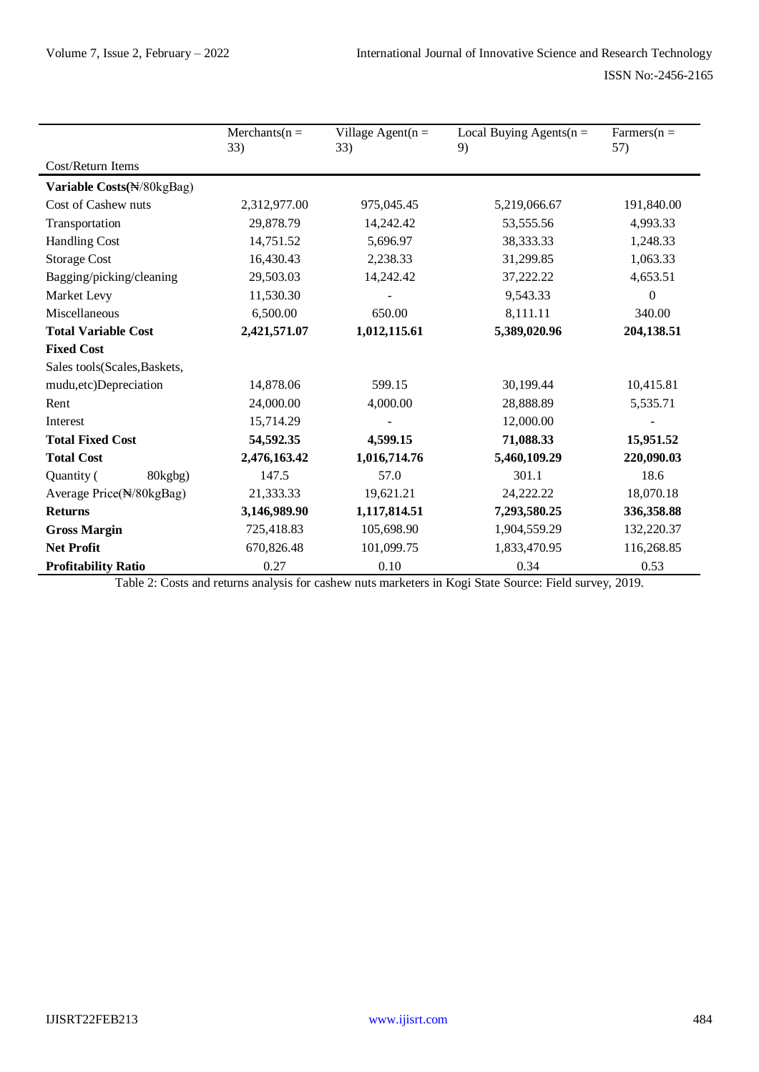|                              | $Merchants(n =$<br>33) | Village Agent( $n =$<br>33) | Local Buying Agents( $n =$<br>9) | $\text{Farmers}(n =$<br>57)  |
|------------------------------|------------------------|-----------------------------|----------------------------------|------------------------------|
| Cost/Return Items            |                        |                             |                                  |                              |
| Variable Costs(N/80kgBag)    |                        |                             |                                  |                              |
| Cost of Cashew nuts          | 2,312,977.00           | 975,045.45                  | 5,219,066.67                     | 191,840.00                   |
| Transportation               | 29,878.79              | 14,242.42                   | 53,555.56                        | 4,993.33                     |
| <b>Handling Cost</b>         | 14,751.52              | 5,696.97                    | 38,333.33                        | 1,248.33                     |
| <b>Storage Cost</b>          | 16,430.43              | 2,238.33                    | 31,299.85                        | 1,063.33                     |
| Bagging/picking/cleaning     | 29,503.03              | 14,242.42                   | 37,222.22                        | 4,653.51                     |
| Market Levy                  | 11,530.30              |                             | 9,543.33                         | $\overline{0}$               |
| Miscellaneous                | 6,500.00               | 650.00                      | 8,111.11                         | 340.00                       |
| <b>Total Variable Cost</b>   | 2,421,571.07           | 1,012,115.61                | 5,389,020.96                     | 204,138.51                   |
| <b>Fixed Cost</b>            |                        |                             |                                  |                              |
| Sales tools(Scales, Baskets, |                        |                             |                                  |                              |
| mudu, etc) Depreciation      | 14,878.06              | 599.15                      | 30,199.44                        | 10,415.81                    |
| Rent                         | 24,000.00              | 4,000.00                    | 28,888.89                        | 5,535.71                     |
| Interest                     | 15,714.29              |                             | 12,000.00                        |                              |
| <b>Total Fixed Cost</b>      | 54,592.35              | 4,599.15                    | 71,088.33                        | 15,951.52                    |
| <b>Total Cost</b>            | 2,476,163.42           | 1,016,714.76                | 5,460,109.29                     | 220,090.03                   |
| Quantity (<br>80kgbg)        | 147.5                  | 57.0                        | 301.1                            | 18.6                         |
| Average Price(N/80kgBag)     | 21,333.33              | 19,621.21                   | 24,222.22                        | 18,070.18                    |
| <b>Returns</b>               | 3,146,989.90           | 1,117,814.51                | 7,293,580.25                     | 336,358.88                   |
| <b>Gross Margin</b>          | 725,418.83             | 105,698.90                  | 1,904,559.29                     | 132,220.37                   |
| <b>Net Profit</b>            | 670,826.48             | 101,099.75                  | 1,833,470.95                     | 116,268.85                   |
| <b>Profitability Ratio</b>   | 0.27                   | 0.10                        | 0.34                             | 0.53<br>$\sim$ $\sim$ $\sim$ |

Table 2: Costs and returns analysis for cashew nuts marketers in Kogi State Source: Field survey, 2019.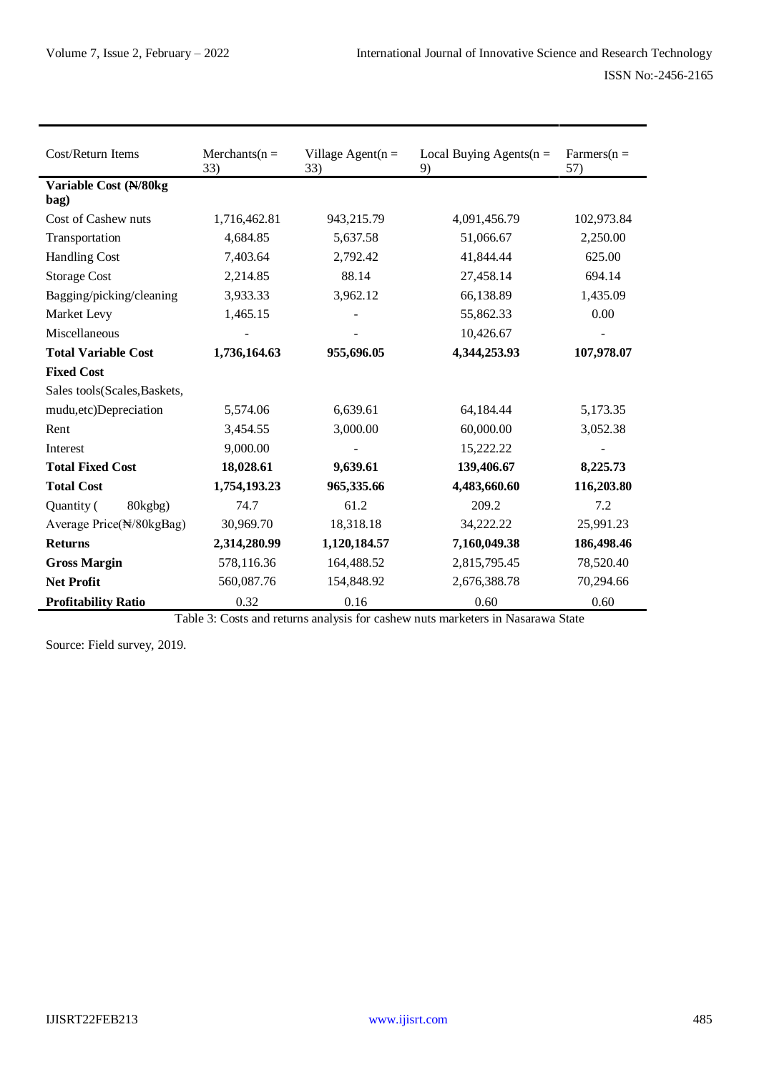| Cost/Return Items            | $Merchants(n =$<br>33) | Village Agent $(n =$<br>33) | Local Buying Agents( $n =$<br>9) | $\text{Farmers}(n =$<br>57) |
|------------------------------|------------------------|-----------------------------|----------------------------------|-----------------------------|
| Variable Cost (N/80kg        |                        |                             |                                  |                             |
| bag)                         |                        |                             |                                  |                             |
| Cost of Cashew nuts          | 1,716,462.81           | 943,215.79                  | 4,091,456.79                     | 102,973.84                  |
| Transportation               | 4,684.85               | 5,637.58                    | 51,066.67                        | 2,250.00                    |
| <b>Handling Cost</b>         | 7,403.64               | 2,792.42                    | 41,844.44                        | 625.00                      |
| <b>Storage Cost</b>          | 2,214.85               | 88.14                       | 27,458.14                        | 694.14                      |
| Bagging/picking/cleaning     | 3,933.33               | 3,962.12                    | 66,138.89                        | 1,435.09                    |
| Market Levy                  | 1,465.15               |                             | 55,862.33                        | 0.00                        |
| Miscellaneous                |                        |                             | 10,426.67                        |                             |
| <b>Total Variable Cost</b>   | 1,736,164.63           | 955,696.05                  | 4,344,253.93                     | 107,978.07                  |
| <b>Fixed Cost</b>            |                        |                             |                                  |                             |
| Sales tools(Scales, Baskets, |                        |                             |                                  |                             |
| mudu, etc) Depreciation      | 5,574.06               | 6,639.61                    | 64,184.44                        | 5,173.35                    |
| Rent                         | 3,454.55               | 3,000.00                    | 60,000.00                        | 3,052.38                    |
| Interest                     | 9,000.00               |                             | 15,222.22                        |                             |
| <b>Total Fixed Cost</b>      | 18,028.61              | 9,639.61                    | 139,406.67                       | 8,225.73                    |
| <b>Total Cost</b>            | 1,754,193.23           | 965,335.66                  | 4,483,660.60                     | 116,203.80                  |
| Quantity (<br>80kgbg)        | 74.7                   | 61.2                        | 209.2                            | 7.2                         |
| Average Price(N/80kgBag)     | 30,969.70              | 18,318.18                   | 34,222.22                        | 25,991.23                   |
| <b>Returns</b>               | 2,314,280.99           | 1,120,184.57                | 7,160,049.38                     | 186,498.46                  |
| <b>Gross Margin</b>          | 578,116.36             | 164,488.52                  | 2,815,795.45                     | 78,520.40                   |
| <b>Net Profit</b>            | 560,087.76             | 154,848.92                  | 2,676,388.78                     | 70,294.66                   |
| <b>Profitability Ratio</b>   | 0.32                   | 0.16                        | 0.60                             | 0.60                        |

Table 3: Costs and returns analysis for cashew nuts marketers in Nasarawa State

Source: Field survey, 2019.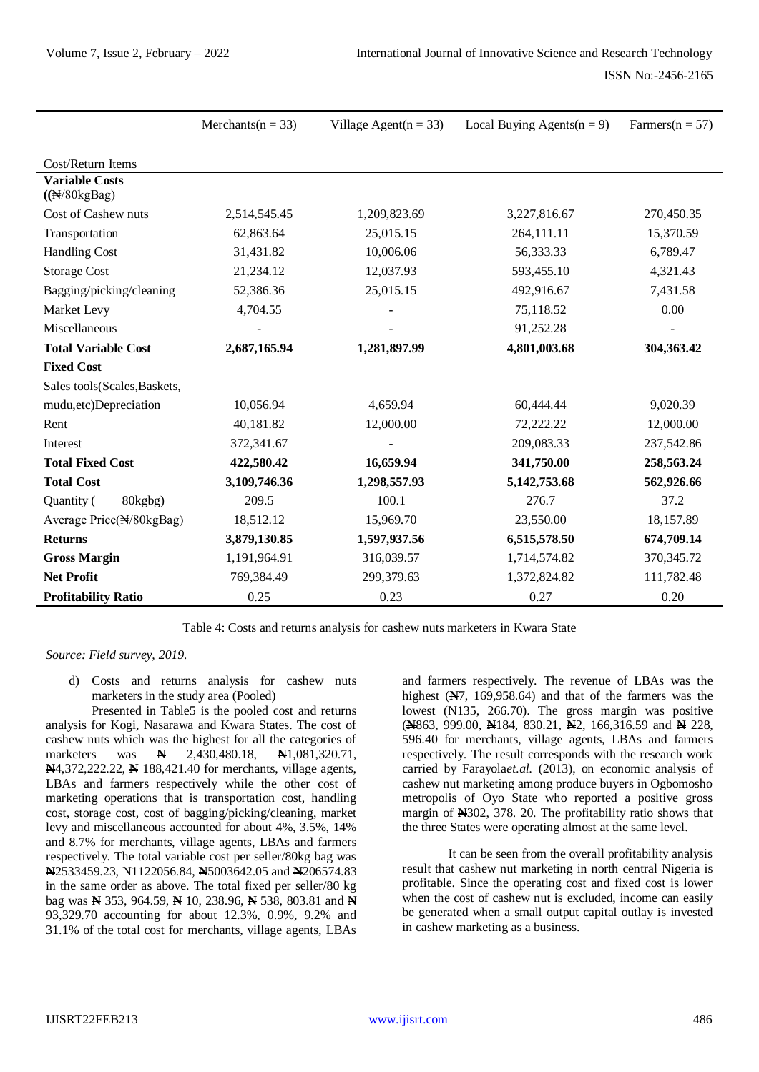|                                                        | Merchants( $n = 33$ ) | Village Agent( $n = 33$ ) | Local Buying Agents( $n = 9$ ) | Farmers( $n = 57$ ) |
|--------------------------------------------------------|-----------------------|---------------------------|--------------------------------|---------------------|
|                                                        |                       |                           |                                |                     |
| Cost/Return Items                                      |                       |                           |                                |                     |
| <b>Variable Costs</b><br>$((\sqrt{N}/80 \text{kgBag})$ |                       |                           |                                |                     |
| Cost of Cashew nuts                                    | 2,514,545.45          | 1,209,823.69              | 3,227,816.67                   | 270,450.35          |
| Transportation                                         | 62,863.64             | 25,015.15                 | 264,111.11                     | 15,370.59           |
| <b>Handling Cost</b>                                   | 31,431.82             | 10,006.06                 | 56,333.33                      | 6,789.47            |
| <b>Storage Cost</b>                                    | 21,234.12             | 12,037.93                 | 593,455.10                     | 4,321.43            |
| Bagging/picking/cleaning                               | 52,386.36             | 25,015.15                 | 492,916.67                     | 7,431.58            |
| Market Levy                                            | 4,704.55              |                           | 75,118.52                      | 0.00                |
| Miscellaneous                                          |                       |                           | 91,252.28                      |                     |
| <b>Total Variable Cost</b>                             | 2,687,165.94          | 1,281,897.99              | 4,801,003.68                   | 304,363.42          |
| <b>Fixed Cost</b>                                      |                       |                           |                                |                     |
| Sales tools(Scales, Baskets,                           |                       |                           |                                |                     |
| mudu, etc) Depreciation                                | 10,056.94             | 4,659.94                  | 60,444.44                      | 9,020.39            |
| Rent                                                   | 40,181.82             | 12,000.00                 | 72,222.22                      | 12,000.00           |
| Interest                                               | 372,341.67            |                           | 209,083.33                     | 237,542.86          |
| <b>Total Fixed Cost</b>                                | 422,580.42            | 16,659.94                 | 341,750.00                     | 258,563.24          |
| <b>Total Cost</b>                                      | 3,109,746.36          | 1,298,557.93              | 5, 142, 753. 68                | 562,926.66          |
| Quantity (<br>80kgbg)                                  | 209.5                 | 100.1                     | 276.7                          | 37.2                |
| Average Price(N/80kgBag)                               | 18,512.12             | 15,969.70                 | 23,550.00                      | 18,157.89           |
| <b>Returns</b>                                         | 3,879,130.85          | 1,597,937.56              | 6,515,578.50                   | 674,709.14          |
| <b>Gross Margin</b>                                    | 1,191,964.91          | 316,039.57                | 1,714,574.82                   | 370, 345. 72        |
| <b>Net Profit</b>                                      | 769,384.49            | 299,379.63                | 1,372,824.82                   | 111,782.48          |
| <b>Profitability Ratio</b>                             | 0.25                  | 0.23                      | 0.27                           | 0.20                |

Table 4: Costs and returns analysis for cashew nuts marketers in Kwara State

*Source: Field survey, 2019.*

d) Costs and returns analysis for cashew nuts marketers in the study area (Pooled)

Presented in Table5 is the pooled cost and returns analysis for Kogi, Nasarawa and Kwara States. The cost of cashew nuts which was the highest for all the categories of marketers was **N** 2,430,480.18, **N**1,081,320.71, **N**4,372,222.22, **N** 188,421.40 for merchants, village agents, LBAs and farmers respectively while the other cost of marketing operations that is transportation cost, handling cost, storage cost, cost of bagging/picking/cleaning, market levy and miscellaneous accounted for about 4%, 3.5%, 14% and 8.7% for merchants, village agents, LBAs and farmers respectively. The total variable cost per seller/80kg bag was **N**2533459.23, N1122056.84, **N**5003642.05 and **N**206574.83 in the same order as above. The total fixed per seller/80 kg bag was **N** 353, 964.59, **N** 10, 238.96, **N** 538, 803.81 and **N** 93,329.70 accounting for about 12.3%, 0.9%, 9.2% and 31.1% of the total cost for merchants, village agents, LBAs

and farmers respectively. The revenue of LBAs was the highest (**N**7, 169,958.64) and that of the farmers was the lowest (N135, 266.70). The gross margin was positive (**N**863, 999.00, **N**184, 830.21, **N**2, 166,316.59 and **N** 228, 596.40 for merchants, village agents, LBAs and farmers respectively. The result corresponds with the research work carried by Farayola*et.al.* (2013), on economic analysis of cashew nut marketing among produce buyers in Ogbomosho metropolis of Oyo State who reported a positive gross margin of **N**302, 378. 20. The profitability ratio shows that the three States were operating almost at the same level.

It can be seen from the overall profitability analysis result that cashew nut marketing in north central Nigeria is profitable. Since the operating cost and fixed cost is lower when the cost of cashew nut is excluded, income can easily be generated when a small output capital outlay is invested in cashew marketing as a business.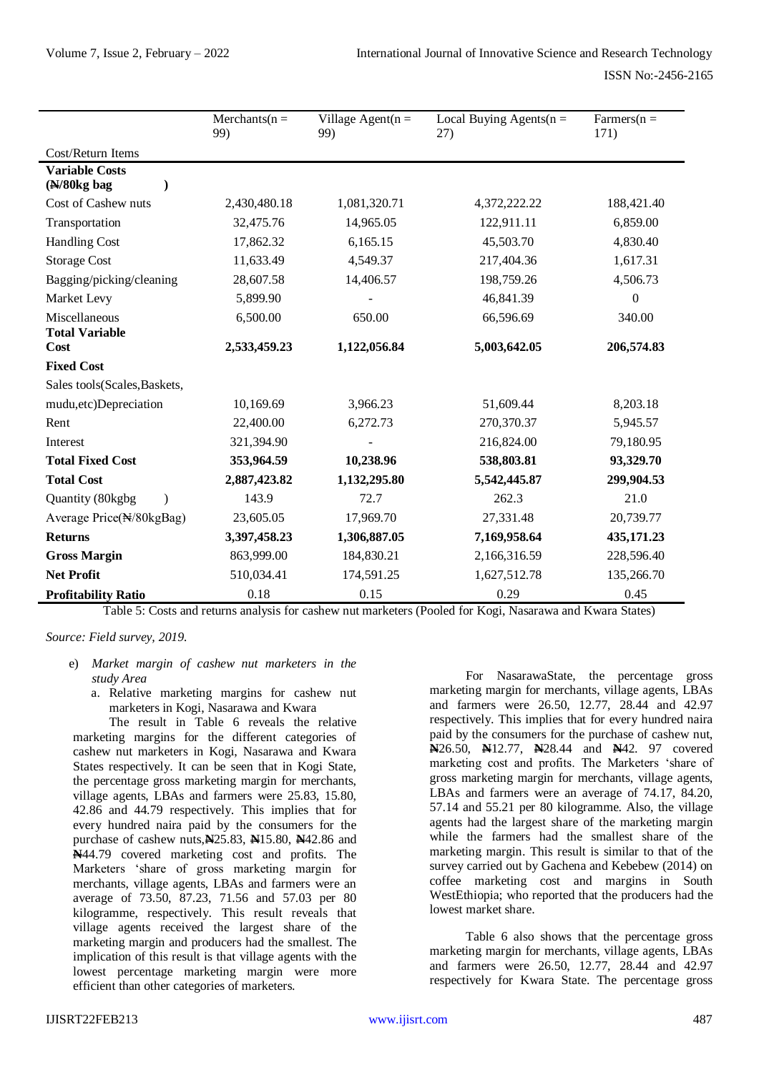|                                        | $Merchants(n =$<br>99) | Village Agent( $n =$<br>99) | Local Buying Agents( $n =$<br>27) | $\text{Farmers}(n =$<br>171) |
|----------------------------------------|------------------------|-----------------------------|-----------------------------------|------------------------------|
| Cost/Return Items                      |                        |                             |                                   |                              |
| <b>Variable Costs</b><br>$(N/80kg$ bag |                        |                             |                                   |                              |
| Cost of Cashew nuts                    | 2,430,480.18           | 1,081,320.71                | 4,372,222.22                      | 188,421.40                   |
| Transportation                         | 32,475.76              | 14,965.05                   | 122,911.11                        | 6,859.00                     |
| <b>Handling Cost</b>                   | 17,862.32              | 6,165.15                    | 45,503.70                         | 4,830.40                     |
| <b>Storage Cost</b>                    | 11,633.49              | 4,549.37                    | 217,404.36                        | 1,617.31                     |
| Bagging/picking/cleaning               | 28,607.58              | 14,406.57                   | 198,759.26                        | 4,506.73                     |
| Market Levy                            | 5,899.90               |                             | 46,841.39                         | $\boldsymbol{0}$             |
| Miscellaneous                          | 6,500.00               | 650.00                      | 66,596.69                         | 340.00                       |
| <b>Total Variable</b><br>Cost          | 2,533,459.23           | 1,122,056.84                | 5,003,642.05                      | 206,574.83                   |
| <b>Fixed Cost</b>                      |                        |                             |                                   |                              |
| Sales tools(Scales, Baskets,           |                        |                             |                                   |                              |
| mudu, etc) Depreciation                | 10,169.69              | 3,966.23                    | 51,609.44                         | 8,203.18                     |
| Rent                                   | 22,400.00              | 6,272.73                    | 270,370.37                        | 5,945.57                     |
| Interest                               | 321,394.90             |                             | 216,824.00                        | 79,180.95                    |
| <b>Total Fixed Cost</b>                | 353,964.59             | 10,238.96                   | 538,803.81                        | 93,329.70                    |
| <b>Total Cost</b>                      | 2,887,423.82           | 1,132,295.80                | 5,542,445.87                      | 299,904.53                   |
| Quantity (80kgbg                       | 143.9                  | 72.7                        | 262.3                             | 21.0                         |
| Average Price(N/80kgBag)               | 23,605.05              | 17,969.70                   | 27,331.48                         | 20,739.77                    |
| <b>Returns</b>                         | 3,397,458.23           | 1,306,887.05                | 7,169,958.64                      | 435,171.23                   |
| <b>Gross Margin</b>                    | 863,999.00             | 184,830.21                  | 2,166,316.59                      | 228,596.40                   |
| <b>Net Profit</b>                      | 510,034.41             | 174,591.25                  | 1,627,512.78                      | 135,266.70                   |
| <b>Profitability Ratio</b>             | 0.18                   | 0.15                        | 0.29                              | 0.45                         |

Table 5: Costs and returns analysis for cashew nut marketers (Pooled for Kogi, Nasarawa and Kwara States)

*Source: Field survey, 2019.*

- e) *Market margin of cashew nut marketers in the study Area*
	- a. Relative marketing margins for cashew nut marketers in Kogi, Nasarawa and Kwara

The result in Table 6 reveals the relative marketing margins for the different categories of cashew nut marketers in Kogi, Nasarawa and Kwara States respectively. It can be seen that in Kogi State, the percentage gross marketing margin for merchants, village agents, LBAs and farmers were 25.83, 15.80, 42.86 and 44.79 respectively. This implies that for every hundred naira paid by the consumers for the purchase of cashew nuts,**N**25.83, **N**15.80, **N**42.86 and **N**44.79 covered marketing cost and profits. The Marketers 'share of gross marketing margin for merchants, village agents, LBAs and farmers were an average of 73.50, 87.23, 71.56 and 57.03 per 80 kilogramme, respectively. This result reveals that village agents received the largest share of the marketing margin and producers had the smallest. The implication of this result is that village agents with the lowest percentage marketing margin were more efficient than other categories of marketers.

For NasarawaState, the percentage gross marketing margin for merchants, village agents, LBAs and farmers were 26.50, 12.77, 28.44 and 42.97 respectively. This implies that for every hundred naira paid by the consumers for the purchase of cashew nut, **N**26.50, **N**12.77, **N**28.44 and **N**42. 97 covered marketing cost and profits. The Marketers 'share of gross marketing margin for merchants, village agents, LBAs and farmers were an average of 74.17, 84.20, 57.14 and 55.21 per 80 kilogramme. Also, the village agents had the largest share of the marketing margin while the farmers had the smallest share of the marketing margin. This result is similar to that of the survey carried out by Gachena and Kebebew (2014) on coffee marketing cost and margins in South WestEthiopia; who reported that the producers had the lowest market share.

Table 6 also shows that the percentage gross marketing margin for merchants, village agents, LBAs and farmers were 26.50, 12.77, 28.44 and 42.97 respectively for Kwara State. The percentage gross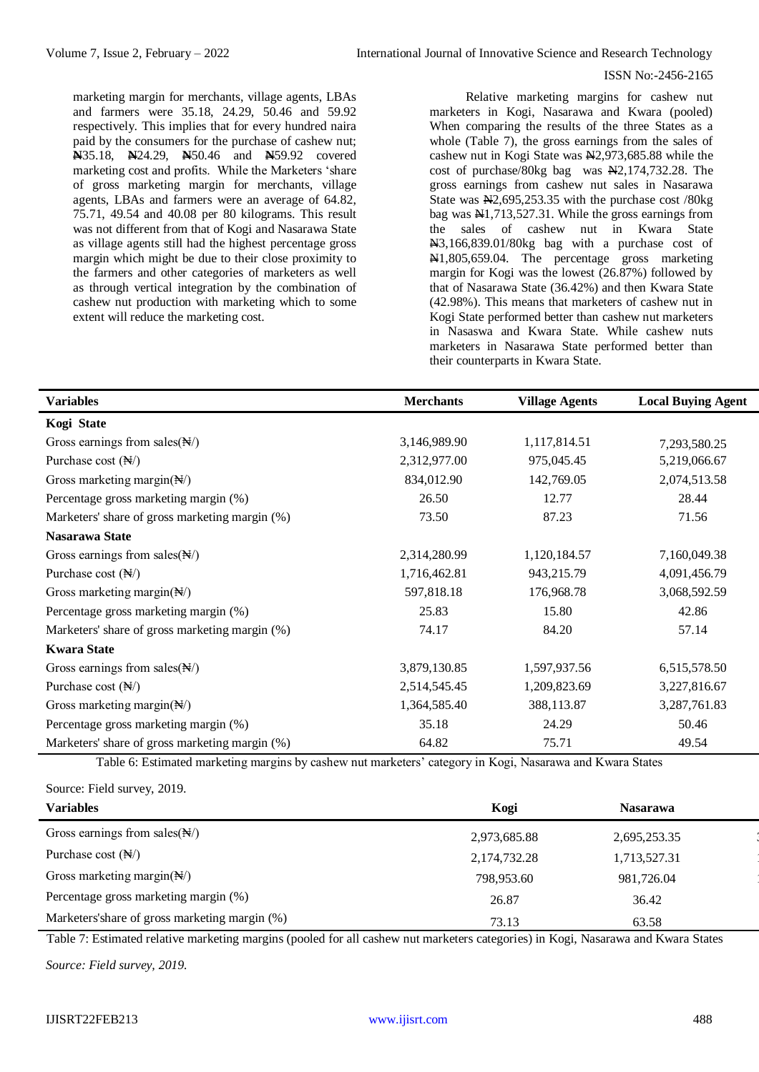marketing margin for merchants, village agents, LBAs and farmers were 35.18, 24.29, 50.46 and 59.92 respectively. This implies that for every hundred naira paid by the consumers for the purchase of cashew nut; **N**35.18, **N**24.29, **N**50.46 and **N**59.92 covered marketing cost and profits. While the Marketers 'share of gross marketing margin for merchants, village agents, LBAs and farmers were an average of 64.82, 75.71, 49.54 and 40.08 per 80 kilograms. This result was not different from that of Kogi and Nasarawa State as village agents still had the highest percentage gross margin which might be due to their close proximity to the farmers and other categories of marketers as well as through vertical integration by the combination of cashew nut production with marketing which to some extent will reduce the marketing cost.

Relative marketing margins for cashew nut marketers in Kogi, Nasarawa and Kwara (pooled) When comparing the results of the three States as a whole (Table 7), the gross earnings from the sales of cashew nut in Kogi State was N2,973,685.88 while the cost of purchase/80kg bag was N2,174,732.28. The gross earnings from cashew nut sales in Nasarawa State was  $\text{H2}, 695, 253.35$  with the purchase cost /80kg bag was N1,713,527.31. While the gross earnings from the sales of cashew nut in Kwara State N3,166,839.01/80kg bag with a purchase cost of N1,805,659.04. The percentage gross marketing margin for Kogi was the lowest (26.87%) followed by that of Nasarawa State (36.42%) and then Kwara State (42.98%). This means that marketers of cashew nut in Kogi State performed better than cashew nut marketers in Nasaswa and Kwara State. While cashew nuts marketers in Nasarawa State performed better than their counterparts in Kwara State.

| <b>Variables</b>                               | <b>Merchants</b> | <b>Village Agents</b> | <b>Local Buying Agent</b> |
|------------------------------------------------|------------------|-----------------------|---------------------------|
| Kogi State                                     |                  |                       |                           |
| Gross earnings from sales $(\mathbb{N})$       | 3,146,989.90     | 1,117,814.51          | 7,293,580.25              |
| Purchase cost $(\mathbb{N})$                   | 2,312,977.00     | 975,045.45            | 5,219,066.67              |
| Gross marketing margin( $\mathbb{N}/$ )        | 834,012.90       | 142,769.05            | 2,074,513.58              |
| Percentage gross marketing margin (%)          | 26.50            | 12.77                 | 28.44                     |
| Marketers' share of gross marketing margin (%) | 73.50            | 87.23                 | 71.56                     |
| Nasarawa State                                 |                  |                       |                           |
| Gross earnings from sales $(\mathbb{N})$       | 2,314,280.99     | 1,120,184.57          | 7,160,049.38              |
| Purchase cost $(\mathbb{N})$                   | 1,716,462.81     | 943,215.79            | 4,091,456.79              |
| Gross marketing margin $(\mathbb{N})$          | 597,818.18       | 176,968.78            | 3,068,592.59              |
| Percentage gross marketing margin (%)          | 25.83            | 15.80                 | 42.86                     |
| Marketers' share of gross marketing margin (%) | 74.17            | 84.20                 | 57.14                     |
| <b>Kwara State</b>                             |                  |                       |                           |
| Gross earnings from sales $(\mathbb{N})$       | 3,879,130.85     | 1,597,937.56          | 6,515,578.50              |
| Purchase cost $(\mathbb{N})$                   | 2,514,545.45     | 1,209,823.69          | 3,227,816.67              |
| Gross marketing margin( $\mathbb{N}/$ )        | 1,364,585.40     | 388,113.87            | 3,287,761.83              |
| Percentage gross marketing margin (%)          | 35.18            | 24.29                 | 50.46                     |
| Marketers' share of gross marketing margin (%) | 64.82            | 75.71                 | 49.54                     |

Table 6: Estimated marketing margins by cashew nut marketers' category in Kogi, Nasarawa and Kwara States

Source: Field survey, 2019.

| <b>Variables</b>                              | Kogi         | <b>Nasarawa</b> |  |
|-----------------------------------------------|--------------|-----------------|--|
| Gross earnings from sales $(\mathbb{N})$      | 2,973,685.88 | 2,695,253.35    |  |
| Purchase cost $(\mathbb{N})$                  | 2,174,732.28 | 1,713,527.31    |  |
| Gross marketing margin( $\mathbb{N}$ )        | 798,953.60   | 981,726.04      |  |
| Percentage gross marketing margin (%)         | 26.87        | 36.42           |  |
| Marketers'share of gross marketing margin (%) | 73.13        | 63.58           |  |

Table 7: Estimated relative marketing margins (pooled for all cashew nut marketers categories) in Kogi, Nasarawa and Kwara States

*Source: Field survey, 2019.*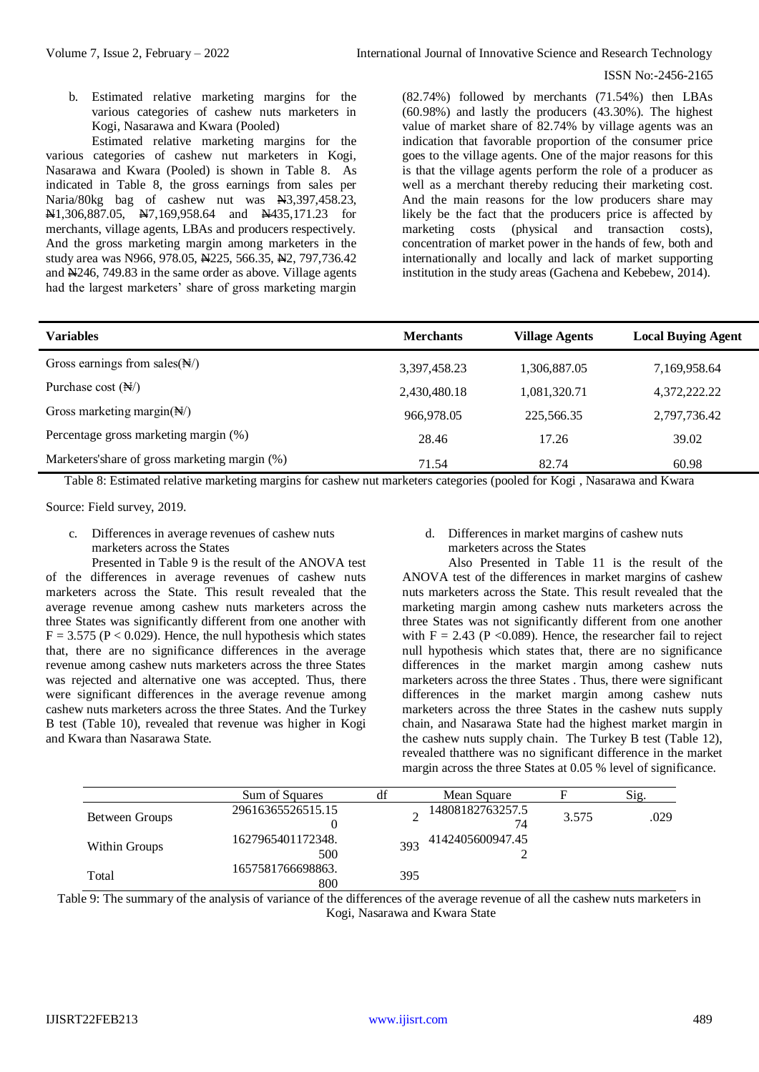b. Estimated relative marketing margins for the various categories of cashew nuts marketers in Kogi, Nasarawa and Kwara (Pooled)

Estimated relative marketing margins for the various categories of cashew nut marketers in Kogi, Nasarawa and Kwara (Pooled) is shown in Table 8. As indicated in Table 8, the gross earnings from sales per Naria/80kg bag of cashew nut was  $\text{H}3,397,458.23$ , N1,306,887.05, N7,169,958.64 and N435,171.23 for merchants, village agents, LBAs and producers respectively. And the gross marketing margin among marketers in the study area was N966, 978.05, N225, 566.35, N2, 797, 736.42 and N246, 749.83 in the same order as above. Village agents had the largest marketers' share of gross marketing margin (82.74%) followed by merchants (71.54%) then LBAs (60.98%) and lastly the producers (43.30%). The highest value of market share of 82.74% by village agents was an indication that favorable proportion of the consumer price goes to the village agents. One of the major reasons for this is that the village agents perform the role of a producer as well as a merchant thereby reducing their marketing cost. And the main reasons for the low producers share may likely be the fact that the producers price is affected by marketing costs (physical and transaction costs), concentration of market power in the hands of few, both and internationally and locally and lack of market supporting institution in the study areas (Gachena and Kebebew, 2014).

| <b>Variables</b>                               | <b>Merchants</b> | <b>Village Agents</b> | <b>Local Buying Agent</b> |
|------------------------------------------------|------------------|-----------------------|---------------------------|
| Gross earnings from sales $(\mathbb{N})$       | 3,397,458.23     | 1,306,887.05          | 7,169,958.64              |
| Purchase cost $(\mathbb{N})$                   | 2,430,480.18     | 1,081,320.71          | 4,372,222.22              |
| Gross marketing margin( $\mathbb{N}/$ )        | 966,978.05       | 225,566.35            | 2,797,736.42              |
| Percentage gross marketing margin (%)          | 28.46            | 17.26                 | 39.02                     |
| Marketers's hare of gross marketing margin (%) | 71.54            | 82.74                 | 60.98                     |

Table 8: Estimated relative marketing margins for cashew nut marketers categories (pooled for Kogi , Nasarawa and Kwara

Source: Field survey, 2019.

c. Differences in average revenues of cashew nuts marketers across the States

Presented in Table 9 is the result of the ANOVA test of the differences in average revenues of cashew nuts marketers across the State. This result revealed that the average revenue among cashew nuts marketers across the three States was significantly different from one another with  $F = 3.575$  (P < 0.029). Hence, the null hypothesis which states that, there are no significance differences in the average revenue among cashew nuts marketers across the three States was rejected and alternative one was accepted. Thus, there were significant differences in the average revenue among cashew nuts marketers across the three States. And the Turkey B test (Table 10), revealed that revenue was higher in Kogi and Kwara than Nasarawa State.

# d. Differences in market margins of cashew nuts marketers across the States

Also Presented in Table 11 is the result of the ANOVA test of the differences in market margins of cashew nuts marketers across the State. This result revealed that the marketing margin among cashew nuts marketers across the three States was not significantly different from one another with  $F = 2.43$  (P < 0.089). Hence, the researcher fail to reject null hypothesis which states that, there are no significance differences in the market margin among cashew nuts marketers across the three States . Thus, there were significant differences in the market margin among cashew nuts marketers across the three States in the cashew nuts supply chain, and Nasarawa State had the highest market margin in the cashew nuts supply chain. The Turkey B test (Table 12), revealed thatthere was no significant difference in the market margin across the three States at 0.05 % level of significance.

|                | Sum of Squares           | df  | Mean Square            |       | Sig. |
|----------------|--------------------------|-----|------------------------|-------|------|
| Between Groups | 29616365526515.15        |     | 14808182763257.5<br>74 | 3.575 | .029 |
| Within Groups  | 1627965401172348.<br>500 | 393 | 4142405600947.45       |       |      |
| Total          | 1657581766698863.<br>800 | 395 |                        |       |      |

Table 9: The summary of the analysis of variance of the differences of the average revenue of all the cashew nuts marketers in Kogi, Nasarawa and Kwara State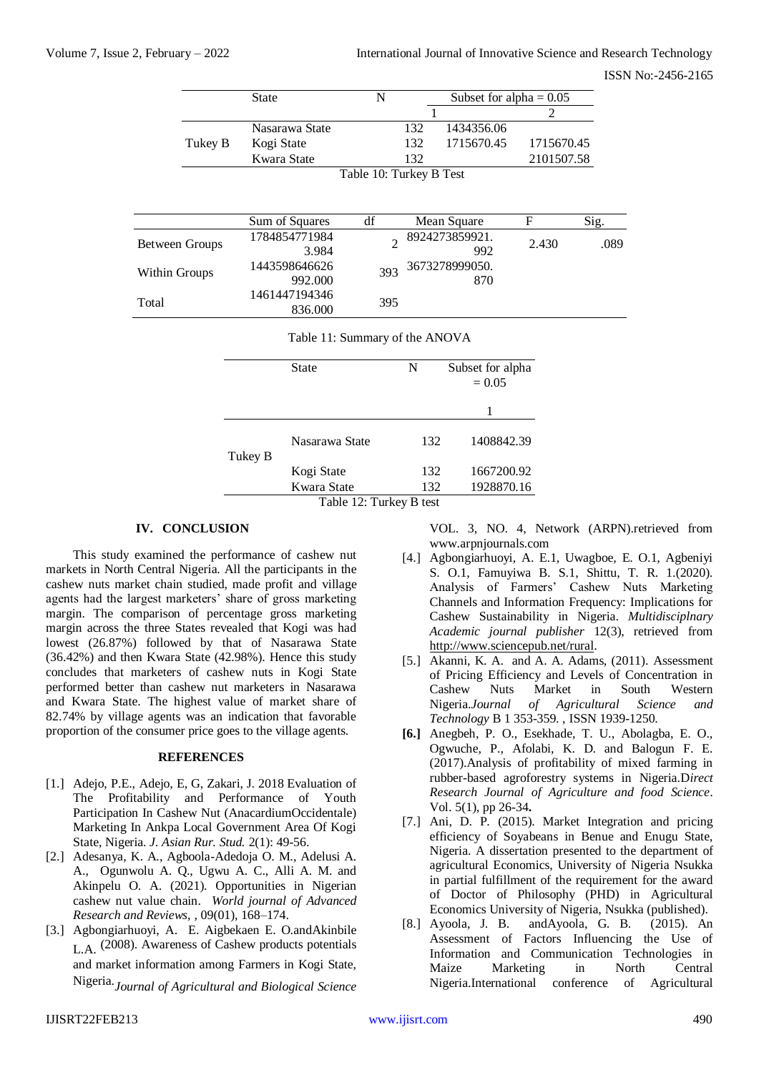|                       | <b>State</b> |                                | N                       |              | Subset for alpha = $0.05$ |                |      |
|-----------------------|--------------|--------------------------------|-------------------------|--------------|---------------------------|----------------|------|
|                       |              |                                |                         | $\mathbf{1}$ |                           | $\overline{2}$ |      |
|                       |              | Nasarawa State                 |                         | 132          | 1434356.06                |                |      |
| Tukey B               | Kogi State   |                                |                         | 132          | 1715670.45                | 1715670.45     |      |
|                       |              | Kwara State                    |                         | 132          |                           | 2101507.58     |      |
|                       |              |                                | Table 10: Turkey B Test |              |                           |                |      |
|                       |              |                                |                         |              |                           |                |      |
|                       |              | Sum of Squares                 | df                      |              | Mean Square               | F              | Sig. |
|                       |              | 1784854771984                  |                         |              | 8924273859921.            |                |      |
| <b>Between Groups</b> |              | 3.984                          | $\overline{2}$          |              | 992                       | 2.430          | .089 |
|                       |              | 1443598646626                  |                         |              | 3673278999050.            |                |      |
| Within Groups         |              | 992.000                        | 393                     |              | 870                       |                |      |
|                       |              | 1461447194346                  |                         |              |                           |                |      |
| Total                 |              | 836.000                        | 395                     |              |                           |                |      |
|                       |              | Table 11: Summary of the ANOVA |                         |              |                           |                |      |
|                       |              |                                |                         |              |                           |                |      |
|                       |              | <b>State</b>                   |                         | N            | Subset for alpha          |                |      |
|                       |              |                                |                         |              | $= 0.05$                  |                |      |
|                       |              |                                |                         |              |                           |                |      |
|                       |              |                                |                         |              | 1                         |                |      |
|                       |              | Nasarawa State                 |                         | 132          | 1408842.39                |                |      |
|                       | Tukey B      |                                |                         |              |                           |                |      |
|                       |              | Kogi State                     |                         | 132          | 1667200.92                |                |      |
|                       |              | Kwara State                    |                         | 132          | 1928870.16                |                |      |
|                       |              |                                |                         |              |                           |                |      |

Table 12: Turkey B test

# **IV. CONCLUSION**

This study examined the performance of cashew nut markets in North Central Nigeria. All the participants in the cashew nuts market chain studied, made profit and village agents had the largest marketers' share of gross marketing margin. The comparison of percentage gross marketing margin across the three States revealed that Kogi was had lowest (26.87%) followed by that of Nasarawa State (36.42%) and then Kwara State (42.98%). Hence this study concludes that marketers of cashew nuts in Kogi State performed better than cashew nut marketers in Nasarawa and Kwara State. The highest value of market share of 82.74% by village agents was an indication that favorable proportion of the consumer price goes to the village agents.

# **REFERENCES**

- [1.] Adejo, P.E., Adejo, E, G, Zakari, J. 2018 Evaluation of The Profitability and Performance of Youth Participation In Cashew Nut (AnacardiumOccidentale) Marketing In Ankpa Local Government Area Of Kogi State, Nigeria. *J. Asian Rur. Stud.* 2(1): 49-56.
- [2.] Adesanya, K. A., Agboola-Adedoja O. M., Adelusi A. A., Ogunwolu A. Q., Ugwu A. C., Alli A. M. and Akinpelu O. A. (2021). Opportunities in Nigerian cashew nut value chain. *World journal of Advanced Research and Reviews*, , 09(01), 168–174.
- [3.] Agbongiarhuoyi, A. E. Aigbekaen E. O.andAkinbile  $L_A$  (2008). Awareness of Cashew products potentials and market information among Farmers in Kogi State, Nigeria.*Journal of Agricultural and Biological Science*

VOL. 3, NO. 4, Network (ARPN).retrieved from www.arpnjournals.com

- [4.] Agbongiarhuoyi, A. E.1, Uwagboe, E. O.1, Agbeniyi S. O.1, Famuyiwa B. S.1, Shittu, T. R. 1.(2020). Analysis of Farmers' Cashew Nuts Marketing Channels and Information Frequency: Implications for Cashew Sustainability in Nigeria. *Multidisciplnary Academic journal publisher* 12(3), retrieved from [http://www.sciencepub.net/rural.](http://www.sciencepub.net/rural)
- [5.] Akanni, K. A. and A. A. Adams, (2011). Assessment of Pricing Efficiency and Levels of Concentration in Cashew Nuts Market in South Western Nigeria.*Journal of Agricultural Science and Technology* B 1 353-359. , ISSN 1939-1250.
- **[6.]** Anegbeh, P. O., Esekhade, T. U., Abolagba, E. O., Ogwuche, P., Afolabi, K. D. and Balogun F. E. (2017).Analysis of profitability of mixed farming in rubber-based agroforestry systems in Nigeria.D*irect Research Journal of Agriculture and food Science*. Vol. 5(1), pp 26-34**.**
- [7.] Ani, D. P. (2015). Market Integration and pricing efficiency of Soyabeans in Benue and Enugu State, Nigeria. A dissertation presented to the department of agricultural Economics, University of Nigeria Nsukka in partial fulfillment of the requirement for the award of Doctor of Philosophy (PHD) in Agricultural Economics University of Nigeria, Nsukka (published).
- [8.] Ayoola, J. B. andAyoola, G. B. (2015). An Assessment of Factors Influencing the Use of Information and Communication Technologies in Maize Marketing in North Central Nigeria.International conference of Agricultural